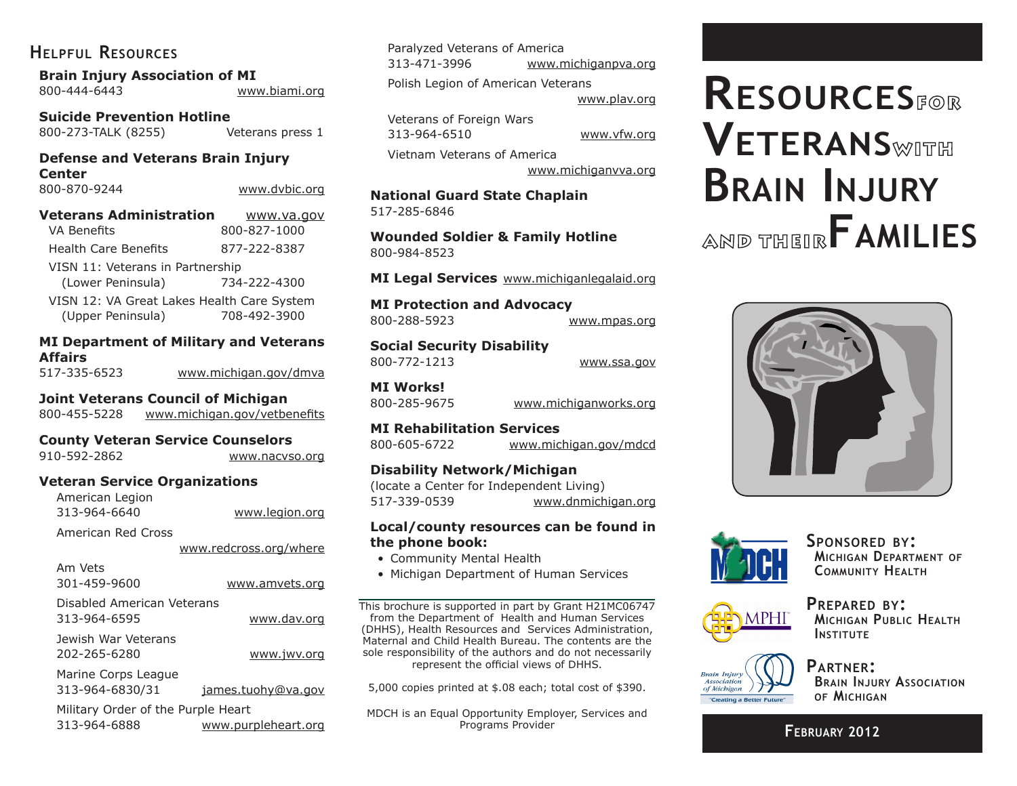# **Helpful Resources**

**Brain Injury Association of MI**

| 800-444-6443 | www.biami.org |
|--------------|---------------|
|              |               |

**Suicide Prevention Hotline** 800-273-TALK (8255) Veterans press 1

**Defense and Veterans Brain Injury Center**

800-870-9244 www.dvbic.org

| Veterans Administration                    | www.va.gov   |  |
|--------------------------------------------|--------------|--|
| <b>VA Benefits</b>                         | 800-827-1000 |  |
| <b>Health Care Benefits</b>                | 877-222-8387 |  |
| VISN 11: Veterans in Partnership           |              |  |
| (Lower Peninsula)                          | 734-222-4300 |  |
| VISN 12: VA Great Lakes Health Care System |              |  |
| (Upper Peninsula)                          | 708-492-3900 |  |

## **MI Department of Military and Veterans Affairs**

| 517-335-6523 | www.michigan.gov/dmva |  |
|--------------|-----------------------|--|
|              |                       |  |
|              |                       |  |
|              |                       |  |
|              |                       |  |
|              |                       |  |

**Joint Veterans Council of Michigan**

800-455-5228 www.michigan.gov/vetbenefits

## **County Veteran Service Counselors**

| 910-592-2862 |  |
|--------------|--|
|              |  |

## **Veteran Service Organizations**

| American Legion |                |
|-----------------|----------------|
| 313-964-6640    | www.legion.org |

American Red Cross

www.redcross.org/where

www.nacvso.org

| Am Vets<br>301-459-9600                            | www.amvets.org      |
|----------------------------------------------------|---------------------|
| Disabled American Veterans<br>313-964-6595         | www.dav.org         |
| Jewish War Veterans<br>202-265-6280                | www.jwv.org         |
| Marine Corps League<br>313-964-6830/31             | james.tuohy@va.gov  |
| Military Order of the Purple Heart<br>313-964-6888 | www.purpleheart.org |

Paralyzed Veterans of America 313-471-3996 www.michiganpva.org Polish Legion of American Veterans

www.plav.org

Veterans of Foreign Wars 313-964-6510 www.vfw.org

Vietnam Veterans of America

www.michiganvva.org

**National Guard State Chaplain** 517-285-6846

**Wounded Soldier & Family Hotline** 800-984-8523

**MI Legal Services** www.michiganlegalaid.org

**MI Protection and Advocacy** 800-288-5923 www.mpas.org

**Social Security Disability** 800-772-1213 www.ssa.gov

**MI Works!**

800-285-9675 www.michiganworks.org

**MI Rehabilitation Services**

800-605-6722 www.michigan.gov/mdcd

## **Disability Network/Michigan**

(locate a Center for Independent Living) 517-339-0539 www.dnmichigan.org

#### **Local/county resources can be found in the phone book:**

- Community Mental Health
- Michigan Department of Human Services

This brochure is supported in part by Grant H21MC06747 from the Department of Health and Human Services (DHHS), Health Resources and Services Administration, Maternal and Child Health Bureau. The contents are the sole responsibility of the authors and do not necessarily represent the official views of DHHS.

5,000 copies printed at \$.08 each; total cost of \$390.

MDCH is an Equal Opportunity Employer, Services and Programs Provider

# **Resources Veterans Brain Injury AND THEIR FAMILIES**





**Sponsored by: Michigan Department of Community Health**



**Prepared by: Michigan Public Health INSTITUTE** 



**Partner: Brain Injury Association of Michigan**

**February 2012**